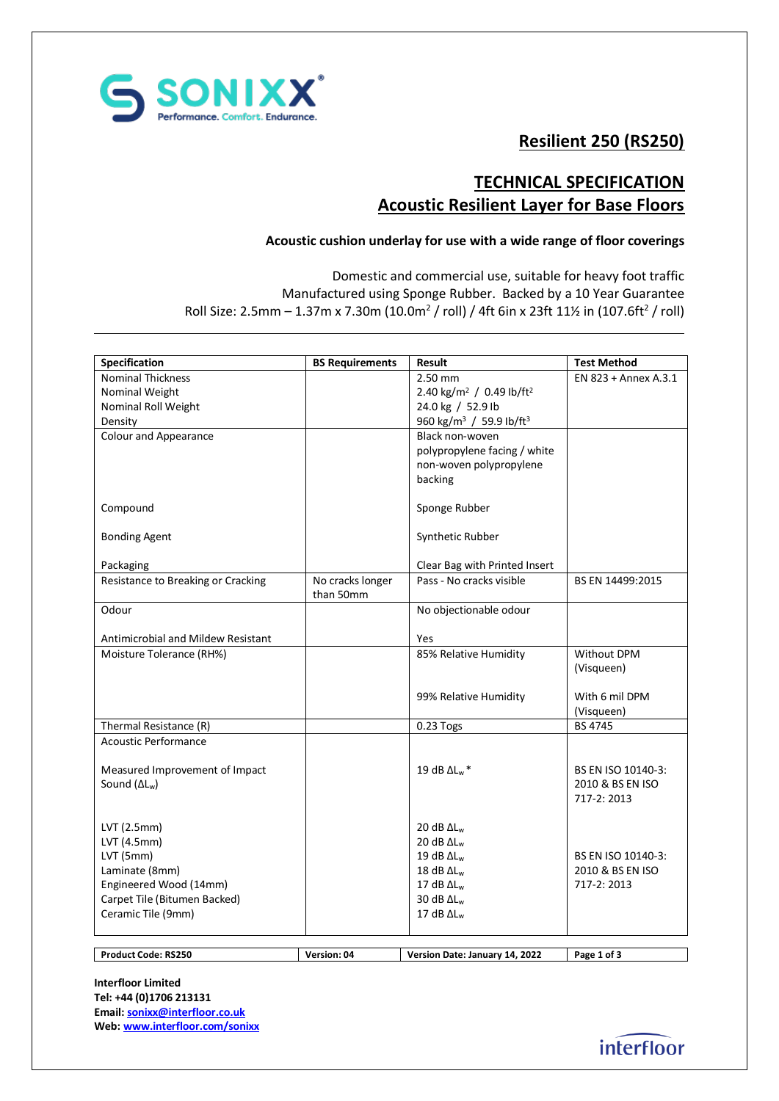

# **Resilient 250 (RS250)**

# **TECHNICAL SPECIFICATION Acoustic Resilient Layer for Base Floors**

## **Acoustic cushion underlay for use with a wide range of floor coverings**

Domestic and commercial use, suitable for heavy foot traffic Manufactured using Sponge Rubber. Backed by a 10 Year Guarantee Roll Size: 2.5mm – 1.37m x 7.30m (10.0m $^2$  / roll) / 4ft 6in x 23ft 11½ in (107.6ft $^2$  / roll)

| Specification                             | <b>BS Requirements</b>        | Result                                           | <b>Test Method</b>   |
|-------------------------------------------|-------------------------------|--------------------------------------------------|----------------------|
| <b>Nominal Thickness</b>                  |                               | 2.50 mm                                          | EN 823 + Annex A.3.1 |
| Nominal Weight                            |                               | 2.40 kg/m <sup>2</sup> / 0.49 lb/ft <sup>2</sup> |                      |
| Nominal Roll Weight                       |                               | 24.0 kg / 52.9 lb                                |                      |
| Density                                   |                               | 960 kg/m <sup>3</sup> / 59.9 lb/ft <sup>3</sup>  |                      |
| <b>Colour and Appearance</b>              |                               | Black non-woven                                  |                      |
|                                           |                               | polypropylene facing / white                     |                      |
|                                           |                               | non-woven polypropylene                          |                      |
|                                           |                               | backing                                          |                      |
| Compound                                  |                               | Sponge Rubber                                    |                      |
| <b>Bonding Agent</b>                      |                               | Synthetic Rubber                                 |                      |
| Packaging                                 |                               | Clear Bag with Printed Insert                    |                      |
| Resistance to Breaking or Cracking        | No cracks longer<br>than 50mm | Pass - No cracks visible                         | BS EN 14499:2015     |
| Odour                                     |                               |                                                  |                      |
|                                           |                               | No objectionable odour                           |                      |
| <b>Antimicrobial and Mildew Resistant</b> |                               | Yes                                              |                      |
| Moisture Tolerance (RH%)                  |                               | 85% Relative Humidity                            | Without DPM          |
|                                           |                               |                                                  | (Visqueen)           |
|                                           |                               | 99% Relative Humidity                            | With 6 mil DPM       |
|                                           |                               |                                                  | (Visqueen)           |
| Thermal Resistance (R)                    |                               | $0.23$ Togs                                      | <b>BS 4745</b>       |
| Acoustic Performance                      |                               |                                                  |                      |
|                                           |                               |                                                  |                      |
| Measured Improvement of Impact            |                               | 19 dB $\Delta$ L <sub>w</sub> *                  | BS EN ISO 10140-3:   |
| Sound $(\Delta L_w)$                      |                               |                                                  | 2010 & BS EN ISO     |
|                                           |                               |                                                  | 717-2: 2013          |
|                                           |                               |                                                  |                      |
| $LVT$ (2.5mm)                             |                               | 20 dB $\Delta L_w$                               |                      |
| LVT (4.5mm)                               |                               | 20 dB $\Delta L_w$                               |                      |
| LVT (5mm)                                 |                               | 19 dB $\Delta L_w$                               | BS EN ISO 10140-3:   |
| Laminate (8mm)                            |                               | 18 dB $\Delta L_w$                               | 2010 & BS EN ISO     |
| Engineered Wood (14mm)                    |                               | 17 dB $\Delta L_w$                               | 717-2: 2013          |
| Carpet Tile (Bitumen Backed)              |                               | 30 dB $\Delta L_w$                               |                      |
| Ceramic Tile (9mm)                        |                               | 17 dB $\Delta L_w$                               |                      |
|                                           |                               |                                                  |                      |
|                                           |                               |                                                  |                      |
| <b>Product Code: RS250</b>                | Version: 04                   | Version Date: January 14, 2022                   | Page 1 of 3          |

**Interfloor Limited Tel: +44 (0)1706 213131 Email[: sonixx@interfloor.co.uk](mailto:sonixx@interfloor.co.uk)  Web[: www.interfloor.com/sonixx](http://www.interfloor.com/sonixx)**

interfloor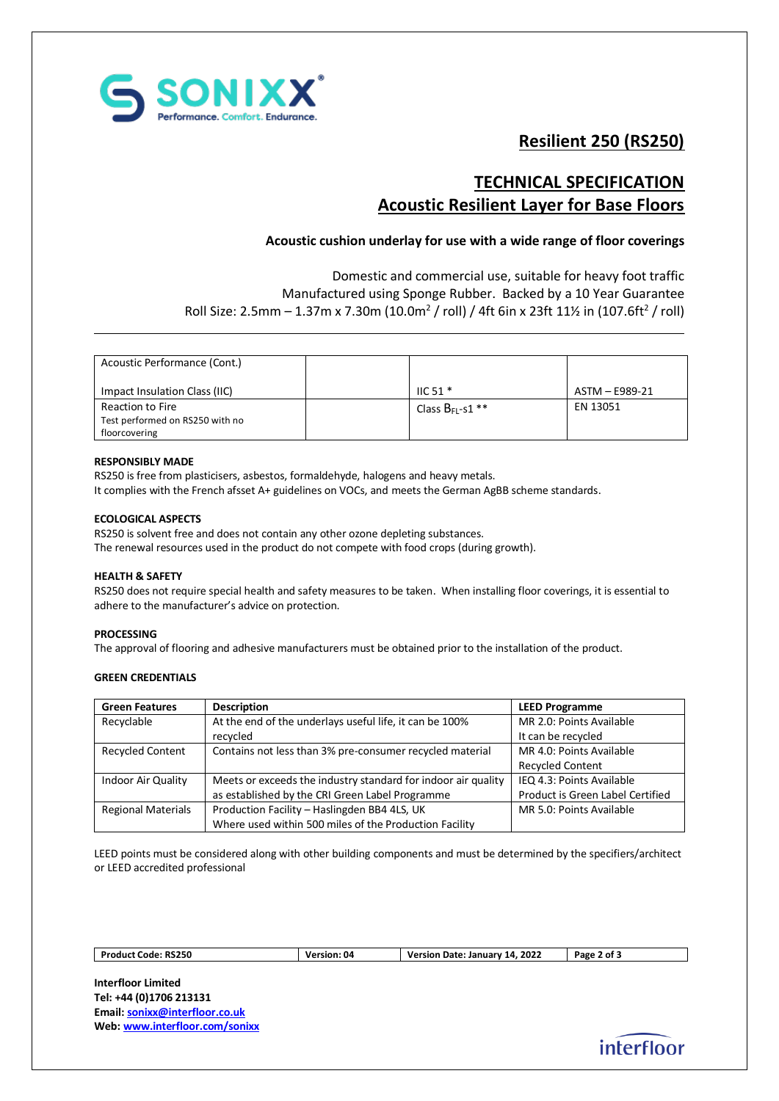

# **Resilient 250 (RS250)**

## **TECHNICAL SPECIFICATION Acoustic Resilient Layer for Base Floors**

### **Acoustic cushion underlay for use with a wide range of floor coverings**

Domestic and commercial use, suitable for heavy foot traffic Manufactured using Sponge Rubber. Backed by a 10 Year Guarantee Roll Size: 2.5mm – 1.37m x 7.30m (10.0m $^2$  / roll) / 4ft 6in x 23ft 11½ in (107.6ft $^2$  / roll)

| Acoustic Performance (Cont.)    |                       |                |
|---------------------------------|-----------------------|----------------|
| Impact Insulation Class (IIC)   | $HC$ 51 $*$           | ASTM - E989-21 |
| Reaction to Fire                | Class $B_{FL}$ -s1 ** | EN 13051       |
| Test performed on RS250 with no |                       |                |
| floorcovering                   |                       |                |

### **RESPONSIBLY MADE**

RS250 is free from plasticisers, asbestos, formaldehyde, halogens and heavy metals. It complies with the French afsset A+ guidelines on VOCs, and meets the German AgBB scheme standards.

### **ECOLOGICAL ASPECTS**

RS250 is solvent free and does not contain any other ozone depleting substances. The renewal resources used in the product do not compete with food crops (during growth).

#### **HEALTH & SAFETY**

RS250 does not require special health and safety measures to be taken. When installing floor coverings, it is essential to adhere to the manufacturer's advice on protection.

#### **PROCESSING**

The approval of flooring and adhesive manufacturers must be obtained prior to the installation of the product.

### **GREEN CREDENTIALS**

| <b>Green Features</b>     | <b>Description</b>                                            | <b>LEED Programme</b>            |
|---------------------------|---------------------------------------------------------------|----------------------------------|
| Recyclable                | At the end of the underlays useful life, it can be 100%       | MR 2.0: Points Available         |
|                           | recycled                                                      | It can be recycled               |
| <b>Recycled Content</b>   | Contains not less than 3% pre-consumer recycled material      | MR 4.0: Points Available         |
|                           |                                                               | <b>Recycled Content</b>          |
| <b>Indoor Air Quality</b> | Meets or exceeds the industry standard for indoor air quality | IEQ 4.3: Points Available        |
|                           | as established by the CRI Green Label Programme               | Product is Green Label Certified |
| <b>Regional Materials</b> | Production Facility - Haslingden BB4 4LS, UK                  | MR 5.0: Points Available         |
|                           | Where used within 500 miles of the Production Facility        |                                  |

LEED points must be considered along with other building components and must be determined by the specifiers/architect or LEED accredited professional

| <b>Product Code: RS250</b> | <b>Version: 04</b> | 14, 2022<br>Version Date: January | ot 3<br>Page |
|----------------------------|--------------------|-----------------------------------|--------------|
|                            |                    |                                   |              |

**Interfloor Limited Tel: +44 (0)1706 213131 Email[: sonixx@interfloor.co.uk](mailto:sonixx@interfloor.co.uk)  Web[: www.interfloor.com/sonixx](http://www.interfloor.com/sonixx)**